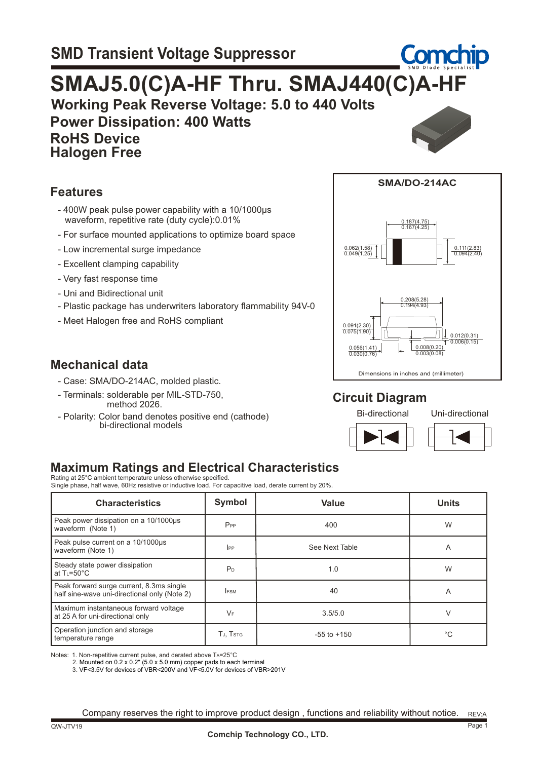# **Working Peak Reverse Voltage: 5.0 to 440 Volts SMAJ5.0(C)A-HF Thru. SMAJ440(C)A-HF**

 **Power Dissipation: 400 Watts RoHS Device Halogen Free**



#### **Features**

- 400W peak pulse power capability with a 10/1000µs waveform, repetitive rate (duty cycle):0.01%
- For surface mounted applications to optimize board space
- Low incremental surge impedance
- Excellent clamping capability
- Very fast response time
- Uni and Bidirectional unit
- Plastic package has underwriters laboratory flammability 94V-0
- Meet Halogen free and RoHS compliant

#### **Mechanical data**

- Case: SMA/DO-214AC, molded plastic.
- Terminals: solderable per MIL-STD-750, method 2026.
- Polarity: Color band denotes positive end (cathode) bi-directional models



#### **Circuit Diagram**

Bi-directional Uni-directional





### **Maximum Ratings and Electrical Characteristics**

Rating at 25°C ambient temperature unless otherwise specified. Single phase, half wave, 60Hz resistive or inductive load. For capacitive load, derate current by 20%.

| <b>Characteristics</b>                                                                   | Symbol         | <b>Value</b>    | <b>Units</b> |
|------------------------------------------------------------------------------------------|----------------|-----------------|--------------|
| Peak power dissipation on a 10/1000us<br>waveform (Note 1)                               | $P_{PP}$       | 400             | W            |
| Peak pulse current on a 10/1000us<br>waveform (Note 1)                                   | $_{\rm lPP}$   | See Next Table  | A            |
| Steady state power dissipation<br>at $T = 50^{\circ}C$                                   | P <sub>D</sub> | 1.0             | W            |
| Peak forward surge current, 8.3ms single<br>half sine-wave uni-directional only (Note 2) | <b>IFSM</b>    | 40              | A            |
| Maximum instantaneous forward voltage<br>at 25 A for uni-directional only                | $V_F$          | 3.5/5.0         |              |
| Operation junction and storage<br>temperature range                                      | TJ, Tstg       | $-55$ to $+150$ | °C           |

Notes: 1. Non-repetitive current pulse, and derated above TA=25°C

2. Mounted on 0.2 x 0.2" (5.0 x 5.0 mm) copper pads to each terminal

3. VF<3.5V for devices of VBR<200V and VF<5.0V for devices of VBR>201V

REV:A Company reserves the right to improve product design , functions and reliability without notice.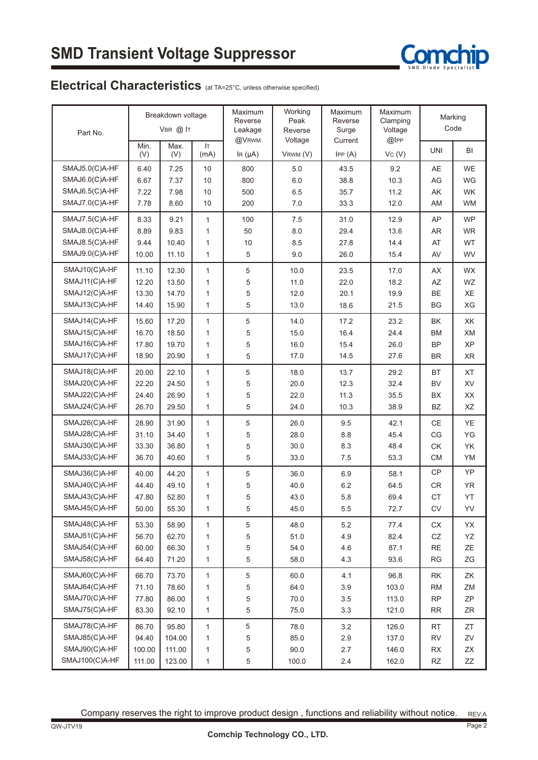

### Electrical Characteristics (at TA=25°C, unless otherwise specified)

| Part No.       | Breakdown voltage<br>VBR @ IT |             |              | Maximum<br>Reverse<br>Leakage | Working<br>Peak<br>Reverse | Maximum<br>Reverse<br>Surge | Maximum<br>Clamping<br>Voltage |                  | Marking<br>Code |  |
|----------------|-------------------------------|-------------|--------------|-------------------------------|----------------------------|-----------------------------|--------------------------------|------------------|-----------------|--|
|                | Min.<br>(V)                   | Max.<br>(V) | IT.<br>(mA)  | @VRWM<br>IR $(\mu A)$         | Voltage<br>VRWM (V)        | Current<br>IPP(A)           | @IPP<br>Vc(V)                  | <b>UNI</b>       | BI              |  |
| SMAJ5.0(C)A-HF | 6.40                          | 7.25        | 10           | 800                           | 5.0                        | 43.5                        | 9.2                            | AE               | <b>WE</b>       |  |
| SMAJ6.0(C)A-HF | 6.67                          | 7.37        | 10           | 800                           | 6.0                        | 38.8                        | 10.3                           | AG               | WG              |  |
| SMAJ6.5(C)A-HF | 7.22                          | 7.98        | 10           | 500                           | 6.5                        | 35.7                        | 11.2                           | AK               | <b>WK</b>       |  |
| SMAJ7.0(C)A-HF | 7.78                          | 8.60        | 10           | 200                           | 7.0                        | 33.3                        | 12.0                           | AM               | <b>WM</b>       |  |
| SMAJ7.5(C)A-HF | 8.33                          | 9.21        | $\mathbf{1}$ | 100                           | 7.5                        | 31.0                        | 12.9                           | AP               | <b>WP</b>       |  |
| SMAJ8.0(C)A-HF | 8.89                          | 9.83        | 1            | 50                            | 8.0                        | 29.4                        | 13.6                           | <b>AR</b>        | <b>WR</b>       |  |
| SMAJ8.5(C)A-HF | 9.44                          | 10.40       | 1            | 10                            | 8.5                        | 27.8                        | 14.4                           | AT               | <b>WT</b>       |  |
| SMAJ9.0(C)A-HF | 10.00                         | 11.10       | $\mathbf{1}$ | 5                             | 9.0                        | 26.0                        | 15.4                           | AV               | WV              |  |
| SMAJ10(C)A-HF  | 11.10                         | 12.30       | $\mathbf{1}$ | 5                             | 10.0                       | 23.5                        | 17.0                           | AX               | <b>WX</b>       |  |
| SMAJ11(C)A-HF  | 12.20                         | 13.50       | $\mathbf{1}$ | 5                             | 11.0                       | 22.0                        | 18.2                           | AZ               | WZ              |  |
| SMAJ12(C)A-HF  | 13.30                         | 14.70       | 1            | 5                             | 12.0                       | 20.1                        | 19.9                           | BE               | XE              |  |
| SMAJ13(C)A-HF  | 14.40                         | 15.90       | $\mathbf{1}$ | 5                             | 13.0                       | 18.6                        | 21.5                           | <b>BG</b>        | XG              |  |
| SMAJ14(C)A-HF  | 15.60                         | 17.20       | $\mathbf{1}$ | 5                             | 14.0                       | 17.2                        | 23.2                           | <b>BK</b>        | ХK              |  |
| SMAJ15(C)A-HF  | 16.70                         | 18.50       | 1            | 5                             | 15.0                       | 16.4                        | 24.4                           | <b>BM</b>        | XM              |  |
| SMAJ16(C)A-HF  | 17.80                         | 19.70       | 1            | 5                             | 16.0                       | 15.4                        | 26.0                           | <b>BP</b>        | <b>XP</b>       |  |
| SMAJ17(C)A-HF  | 18.90                         | 20.90       | $\mathbf{1}$ | 5                             | 17.0                       | 14.5                        | 27.6                           | <b>BR</b>        | <b>XR</b>       |  |
| SMAJ18(C)A-HF  | 20.00                         | 22.10       | 1            | 5                             | 18.0                       | 13.7                        | 29.2                           | <b>BT</b>        | <b>XT</b>       |  |
| SMAJ20(C)A-HF  | 22.20                         | 24.50       | 1            | 5                             | 20.0                       | 12.3                        | 32.4                           | <b>BV</b>        | XV              |  |
| SMAJ22(C)A-HF  | 24.40                         | 26.90       | 1            | 5                             | 22.0                       | 11.3                        | 35.5                           | <b>BX</b>        | XX              |  |
| SMAJ24(C)A-HF  | 26.70                         | 29.50       | $\mathbf{1}$ | 5                             | 24.0                       | 10.3                        | 38.9                           | BZ               | XZ              |  |
| SMAJ26(C)A-HF  | 28.90                         | 31.90       | $\mathbf{1}$ | 5                             | 26.0                       | 9.5                         | 42.1                           | <b>CE</b>        | YE              |  |
| SMAJ28(C)A-HF  | 31.10                         | 34.40       | 1            | 5                             | 28.0                       | 8.8                         | 45.4                           | CG               | YG              |  |
| SMAJ30(C)A-HF  | 33.30                         | 36.80       | 1            | 5                             | 30.0                       | 8.3                         | 48.4                           | <b>CK</b>        | YK              |  |
| SMAJ33(C)A-HF  | 36.70                         | 40.60       | $\mathbf{1}$ | 5                             | 33.0                       | 7.5                         | 53.3                           | <b>CM</b>        | YM              |  |
| SMAJ36(C)A-HF  | 40.00                         | 44.20       | 1            | 5                             | 36.0                       | 6.9                         | 58.1                           | <b>CP</b>        | YP              |  |
| SMAJ40(C)A-HF  | 44.40                         | 49.10       | 1            | 5                             | 40.0                       | 6.2                         | 64.5                           | <b>CR</b>        | YR              |  |
| SMAJ43(C)A-HF  | 47.80                         | 52.80       | 1            | 5                             | 43.0                       | 5.8                         | 69.4                           | CT               | YT              |  |
| SMAJ45(C)A-HF  | 50.00                         | 55.30       | $\mathbf{1}$ | 5                             | 45.0                       | 5.5                         | 72.7                           | ${\sf CV}$       | YV              |  |
| SMAJ48(C)A-HF  | 53.30                         | 58.90       | 1            | 5                             | 48.0                       | 5.2                         | 77.4                           | ${\sf C}{\sf X}$ | YX              |  |
| SMAJ51(C)A-HF  | 56.70                         | 62.70       | $\mathbf{1}$ | 5                             | 51.0                       | 4.9                         | 82.4                           | ${\tt CZ}$       | YZ              |  |
| SMAJ54(C)A-HF  | 60.00                         | 66.30       | 1            | 5                             | 54.0                       | 4.6                         | 87.1                           | $\sf RE$         | ΖE              |  |
| SMAJ58(C)A-HF  | 64.40                         | 71.20       | $\mathbf{1}$ | 5                             | 58.0                       | 4.3                         | 93.6                           | RG               | ZG              |  |
| SMAJ60(C)A-HF  | 66.70                         | 73.70       | 1            | 5                             | 60.0                       | 4.1                         | 96.8                           | RK               | ZK              |  |
| SMAJ64(C)A-HF  | 71.10                         | 78.60       | 1            | 5                             | 64.0                       | $3.9\,$                     | 103.0                          | <b>RM</b>        | ZM              |  |
| SMAJ70(C)A-HF  | 77.80                         | 86.00       | 1            | 5                             | 70.0                       | 3.5                         | 113.0                          | <b>RP</b>        | ZΡ              |  |
| SMAJ75(C)A-HF  | 83.30                         | 92.10       | $\mathbf{1}$ | 5                             | 75.0                       | 3.3                         | 121.0                          | <b>RR</b>        | ZR              |  |
| SMAJ78(C)A-HF  | 86.70                         | 95.80       | 1            | 5                             | 78.0                       | 3.2                         | 126.0                          | <b>RT</b>        | ZT              |  |
| SMAJ85(C)A-HF  | 94.40                         | 104.00      | 1            | 5                             | 85.0                       | 2.9                         | 137.0                          | <b>RV</b>        | ZV              |  |
| SMAJ90(C)A-HF  | 100.00                        | 111.00      | 1            | 5                             | 90.0                       | 2.7                         | 146.0                          | <b>RX</b>        | ΖX              |  |
| SMAJ100(C)A-HF | 111.00                        | 123.00      | 1            | 5                             | 100.0                      | $2.4\,$                     | 162.0                          | RZ               | ΖZ              |  |

Company reserves the right to improve product design , functions and reliability without notice. REV:A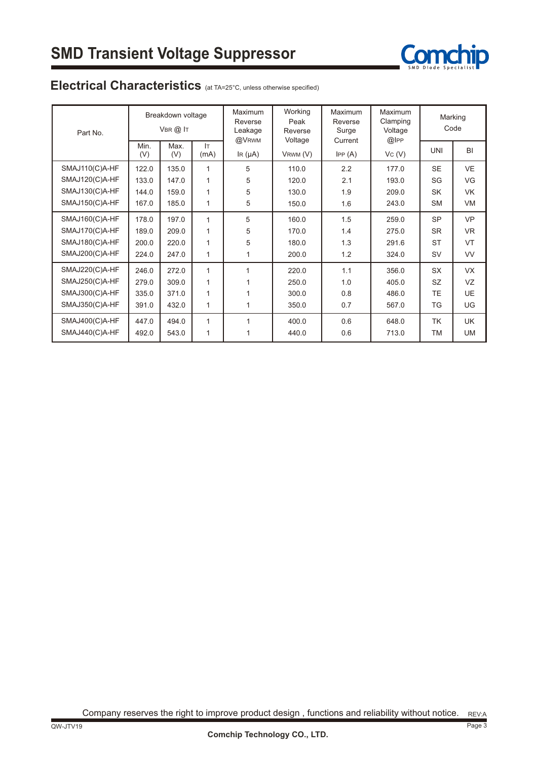

### Electrical Characteristics (at TA=25°C, unless otherwise specified)

| Part No.       | Breakdown voltage<br>$V$ BR $(2)$ IT |             |              | Maximum<br>Reverse<br>Leakage<br>@VRWM | Working<br>Peak<br>Reverse<br>Voltage | Maximum<br>Reverse<br>Surge | Maximum<br>Clamping<br>Voltage | Marking<br>Code |           |
|----------------|--------------------------------------|-------------|--------------|----------------------------------------|---------------------------------------|-----------------------------|--------------------------------|-----------------|-----------|
|                | Min.<br>(V)                          | Max.<br>(V) | Iт<br>(mA)   | $\ln(\mu A)$                           | VRWM (V)                              | Current<br>IPP(A)           | @IPP<br>VC (V)                 | <b>UNI</b>      | BI        |
| SMAJ110(C)A-HF | 122.0                                | 135.0       | 1            | 5                                      | 110.0                                 | 2.2                         | 177.0                          | <b>SE</b>       | <b>VE</b> |
| SMAJ120(C)A-HF | 133.0                                | 147.0       | 1            | 5                                      | 120.0                                 | 2.1                         | 193.0                          | SG              | VG        |
| SMAJ130(C)A-HF | 144.0                                | 159.0       | 1            | 5                                      | 130.0                                 | 1.9                         | 209.0                          | <b>SK</b>       | <b>VK</b> |
| SMAJ150(C)A-HF | 167.0                                | 185.0       | 1            | 5                                      | 150.0                                 | 1.6                         | 243.0                          | <b>SM</b>       | VM        |
| SMAJ160(C)A-HF | 178.0                                | 197.0       | 1            | 5                                      | 160.0                                 | 1.5                         | 259.0                          | <b>SP</b>       | <b>VP</b> |
| SMAJ170(C)A-HF | 189.0                                | 209.0       | $\mathbf{1}$ | 5                                      | 170.0                                 | 1.4                         | 275.0                          | <b>SR</b>       | <b>VR</b> |
| SMAJ180(C)A-HF | 200.0                                | 220.0       | 1            | 5                                      | 180.0                                 | 1.3                         | 291.6                          | <b>ST</b>       | <b>VT</b> |
| SMAJ200(C)A-HF | 224.0                                | 247.0       | 1            | $\mathbf{1}$                           | 200.0                                 | 1.2                         | 324.0                          | <b>SV</b>       | <b>VV</b> |
| SMAJ220(C)A-HF | 246.0                                | 272.0       | 1            | 1                                      | 220.0                                 | 1.1                         | 356.0                          | <b>SX</b>       | <b>VX</b> |
| SMAJ250(C)A-HF | 279.0                                | 309.0       | $\mathbf{1}$ |                                        | 250.0                                 | 1.0                         | 405.0                          | SZ.             | VZ        |
| SMAJ300(C)A-HF | 335.0                                | 371.0       | 1            |                                        | 300.0                                 | 0.8                         | 486.0                          | TE.             | <b>UE</b> |
| SMAJ350(C)A-HF | 391.0                                | 432.0       | 1            |                                        | 350.0                                 | 0.7                         | 567.0                          | TG              | UG        |
| SMAJ400(C)A-HF | 447.0                                | 494.0       | 1            | 1                                      | 400.0                                 | 0.6                         | 648.0                          | <b>TK</b>       | <b>UK</b> |
| SMAJ440(C)A-HF | 492.0                                | 543.0       | 1            |                                        | 440.0                                 | 0.6                         | 713.0                          | TM              | <b>UM</b> |

Company reserves the right to improve product design , functions and reliability without notice. REV:A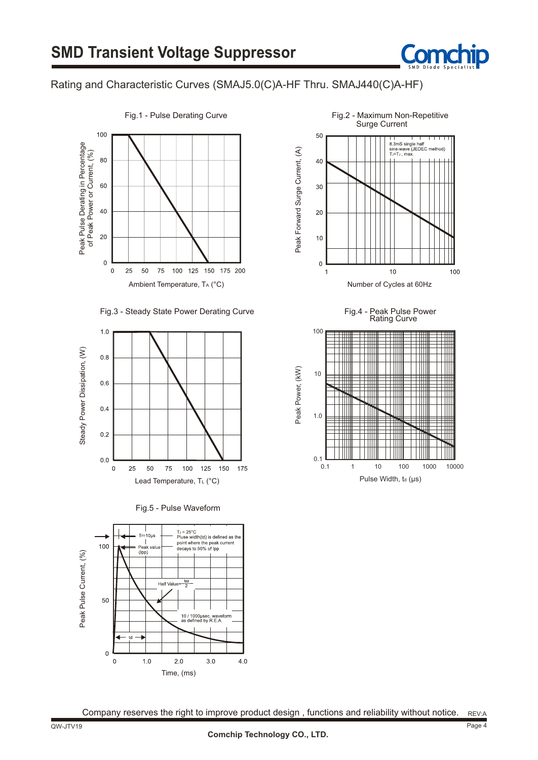

#### Rating and Characteristic Curves (SMAJ5.0(C)A-HF Thru. SMAJ440(C)A-HF)



#### Fig.3 - Steady State Power Derating Curve













Company reserves the right to improve product design, functions and reliability without notice. REV:A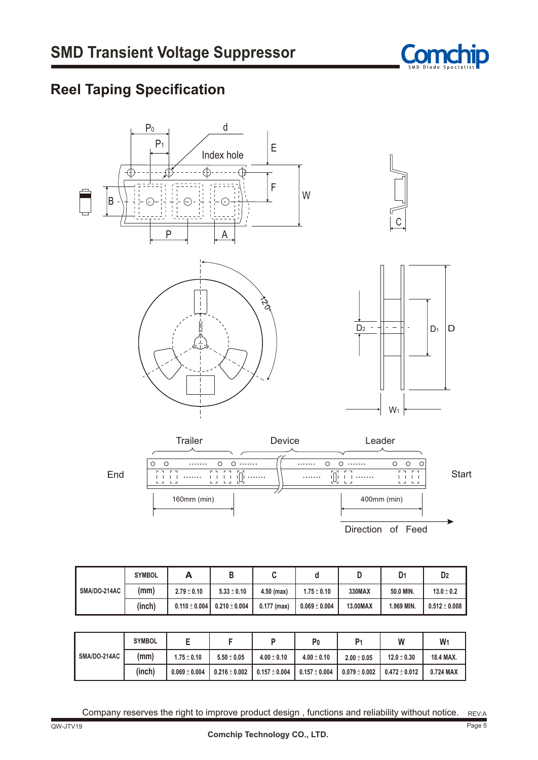

### **Reel Taping Specification**



Direction of Feed

|              | <b>SYMBOL</b> | A                 |                   |               |                   |          | D <sub>1</sub> | D <sub>2</sub>    |
|--------------|---------------|-------------------|-------------------|---------------|-------------------|----------|----------------|-------------------|
| SMA/DO-214AC | (mm)          | $2.79 \pm 0.10$   | $5.33 \pm 0.10$   | $4.50$ (max)  | $1.75 \pm 0.10$   | 330MAX   | 50.0 MIN.      | $13.0 \pm 0.2$    |
|              | (inch)        | $0.110 \pm 0.004$ | $0.210 \pm 0.004$ | $0.177$ (max) | $0.069 \pm 0.004$ | 13.00MAX | 1.969 MIN.     | $0.512 \pm 0.008$ |

|                     | <b>SYMBOL</b> |                   |                   |                 | P <sub>0</sub>     | P <sub>1</sub>  | W                 | W         |
|---------------------|---------------|-------------------|-------------------|-----------------|--------------------|-----------------|-------------------|-----------|
| <b>SMA/DO-214AC</b> | (mm)          | $1.75 \pm 0.10$   | $5.50 \pm 0.05$   | $4.00 \pm 0.10$ | $4.00 \pm 0.10$    | $2.00 \pm 0.05$ | $12.0 \pm 0.30$   | 18.4 MAX. |
|                     | (inch)        | $0.069 \pm 0.004$ | $0.216 \pm 0.002$ | $0.157\pm0.004$ | $10.157 \pm 0.004$ | $0.079\pm0.002$ | $0.472 \pm 0.012$ | 0.724 MAX |

Company reserves the right to improve product design, functions and reliability without notice. REV:A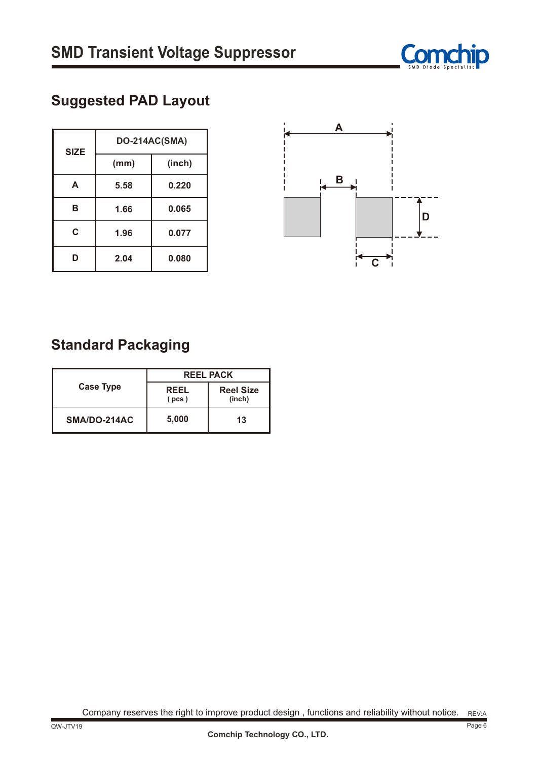

## **Suggested PAD Layout**

| <b>SIZE</b> | DO-214AC(SMA) |        |  |  |  |
|-------------|---------------|--------|--|--|--|
|             | (mm)          | (inch) |  |  |  |
| A           | 5.58          | 0.220  |  |  |  |
| В           | 1.66          | 0.065  |  |  |  |
| C           | 1.96          | 0.077  |  |  |  |
| D           | 2.04          | 0.080  |  |  |  |



### **Standard Packaging**

|                  | <b>REEL PACK</b> |                            |  |  |
|------------------|------------------|----------------------------|--|--|
| <b>Case Type</b> | REEL<br>(pcs)    | <b>Reel Size</b><br>(inch) |  |  |
| SMA/DO-214AC     | 5,000            | 13                         |  |  |

Company reserves the right to improve product design, functions and reliability without notice.